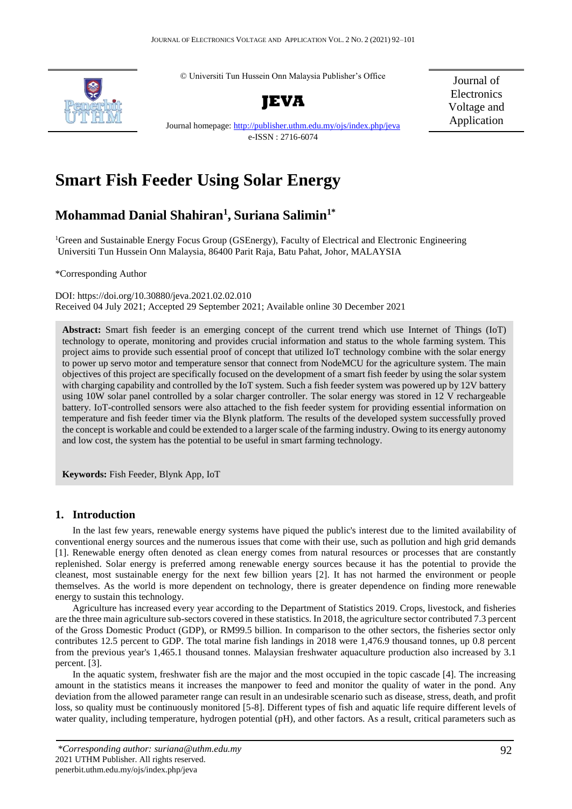© Universiti Tun Hussein Onn Malaysia Publisher's Office



**JEVA**

Journal of Electronics Voltage and Application

Journal homepage[: http://publisher.uthm.edu.my/ojs/index.php/jeva](http://publisher.uthm.edu.my/ojs/index.php/jeva) e-ISSN : 2716-6074

# **Smart Fish Feeder Using Solar Energy**

# **Mohammad Danial Shahiran<sup>1</sup> , Suriana Salimin1\***

<sup>1</sup>Green and Sustainable Energy Focus Group (GSEnergy), Faculty of Electrical and Electronic Engineering Universiti Tun Hussein Onn Malaysia, 86400 Parit Raja, Batu Pahat, Johor, MALAYSIA

\*Corresponding Author

DOI: https://doi.org/10.30880/jeva.2021.02.02.010 Received 04 July 2021; Accepted 29 September 2021; Available online 30 December 2021

**Abstract:** Smart fish feeder is an emerging concept of the current trend which use Internet of Things (IoT) technology to operate, monitoring and provides crucial information and status to the whole farming system. This project aims to provide such essential proof of concept that utilized IoT technology combine with the solar energy to power up servo motor and temperature sensor that connect from NodeMCU for the agriculture system. The main objectives of this project are specifically focused on the development of a smart fish feeder by using the solar system with charging capability and controlled by the IoT system. Such a fish feeder system was powered up by 12V battery using 10W solar panel controlled by a solar charger controller. The solar energy was stored in 12 V rechargeable battery. IoT-controlled sensors were also attached to the fish feeder system for providing essential information on temperature and fish feeder timer via the Blynk platform. The results of the developed system successfully proved the concept is workable and could be extended to a larger scale of the farming industry. Owing to its energy autonomy and low cost, the system has the potential to be useful in smart farming technology.

**Keywords:** Fish Feeder, Blynk App, IoT

# **1. Introduction**

In the last few years, renewable energy systems have piqued the public's interest due to the limited availability of conventional energy sources and the numerous issues that come with their use, such as pollution and high grid demands [1]. Renewable energy often denoted as clean energy comes from natural resources or processes that are constantly replenished. Solar energy is preferred among renewable energy sources because it has the potential to provide the cleanest, most sustainable energy for the next few billion years [2]. It has not harmed the environment or people themselves. As the world is more dependent on technology, there is greater dependence on finding more renewable energy to sustain this technology.

Agriculture has increased every year according to the Department of Statistics 2019. Crops, livestock, and fisheries are the three main agriculture sub-sectors covered in these statistics. In 2018, the agriculture sector contributed 7.3 percent of the Gross Domestic Product (GDP), or RM99.5 billion. In comparison to the other sectors, the fisheries sector only contributes 12.5 percent to GDP. The total marine fish landings in 2018 were 1,476.9 thousand tonnes, up 0.8 percent from the previous year's 1,465.1 thousand tonnes. Malaysian freshwater aquaculture production also increased by 3.1 percent. [3].

In the aquatic system, freshwater fish are the major and the most occupied in the topic cascade [4]. The increasing amount in the statistics means it increases the manpower to feed and monitor the quality of water in the pond. Any deviation from the allowed parameter range can result in an undesirable scenario such as disease, stress, death, and profit loss, so quality must be continuously monitored [5-8]. Different types of fish and aquatic life require different levels of water quality, including temperature, hydrogen potential (pH), and other factors. As a result, critical parameters such as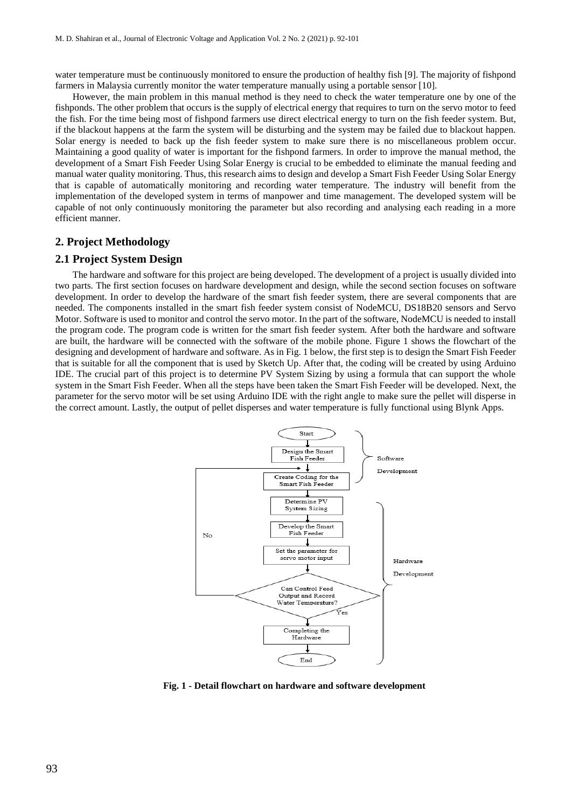water temperature must be continuously monitored to ensure the production of healthy fish [9]. The majority of fishpond farmers in Malaysia currently monitor the water temperature manually using a portable sensor [10].

However, the main problem in this manual method is they need to check the water temperature one by one of the fishponds. The other problem that occurs is the supply of electrical energy that requires to turn on the servo motor to feed the fish. For the time being most of fishpond farmers use direct electrical energy to turn on the fish feeder system. But, if the blackout happens at the farm the system will be disturbing and the system may be failed due to blackout happen. Solar energy is needed to back up the fish feeder system to make sure there is no miscellaneous problem occur. Maintaining a good quality of water is important for the fishpond farmers. In order to improve the manual method, the development of a Smart Fish Feeder Using Solar Energy is crucial to be embedded to eliminate the manual feeding and manual water quality monitoring. Thus, this research aims to design and develop a Smart Fish Feeder Using Solar Energy that is capable of automatically monitoring and recording water temperature. The industry will benefit from the implementation of the developed system in terms of manpower and time management. The developed system will be capable of not only continuously monitoring the parameter but also recording and analysing each reading in a more efficient manner.

#### **2. Project Methodology**

# **2.1 Project System Design**

The hardware and software for this project are being developed. The development of a project is usually divided into two parts. The first section focuses on hardware development and design, while the second section focuses on software development. In order to develop the hardware of the smart fish feeder system, there are several components that are needed. The components installed in the smart fish feeder system consist of NodeMCU, DS18B20 sensors and Servo Motor. Software is used to monitor and control the servo motor. In the part of the software, NodeMCU is needed to install the program code. The program code is written for the smart fish feeder system. After both the hardware and software are built, the hardware will be connected with the software of the mobile phone. Figure 1 shows the flowchart of the designing and development of hardware and software. As in Fig. 1 below, the first step is to design the Smart Fish Feeder that is suitable for all the component that is used by Sketch Up. After that, the coding will be created by using Arduino IDE. The crucial part of this project is to determine PV System Sizing by using a formula that can support the whole system in the Smart Fish Feeder. When all the steps have been taken the Smart Fish Feeder will be developed. Next, the parameter for the servo motor will be set using Arduino IDE with the right angle to make sure the pellet will disperse in the correct amount. Lastly, the output of pellet disperses and water temperature is fully functional using Blynk Apps.



**Fig. 1 - Detail flowchart on hardware and software development**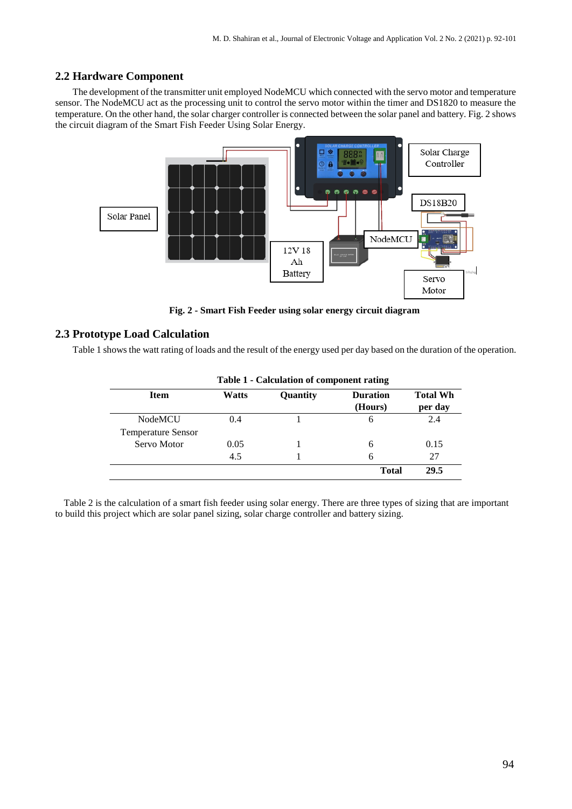# **2.2 Hardware Component**

The development of the transmitter unit employed NodeMCU which connected with the servo motor and temperature sensor. The NodeMCU act as the processing unit to control the servo motor within the timer and DS1820 to measure the temperature. On the other hand, the solar charger controller is connected between the solar panel and battery. Fig. 2 shows the circuit diagram of the Smart Fish Feeder Using Solar Energy.



**Fig. 2 - Smart Fish Feeder using solar energy circuit diagram**

# **2.3 Prototype Load Calculation**

Table 1 shows the watt rating of loads and the result of the energy used per day based on the duration of the operation.

| <b>Item</b>               | Watts | Quantity | <b>Duration</b><br>(Hours) | <b>Total Wh</b><br>per day |
|---------------------------|-------|----------|----------------------------|----------------------------|
| <b>NodeMCU</b>            | 0.4   |          | 6                          | 2.4                        |
| <b>Temperature Sensor</b> |       |          |                            |                            |
| Servo Motor               | 0.05  |          | 6                          | 0.15                       |
|                           | 4.5   |          | 6                          | 27                         |
|                           |       |          | <b>Total</b>               | 29.5                       |

**Table 1 - Calculation of component rating**

Table 2 is the calculation of a smart fish feeder using solar energy. There are three types of sizing that are important to build this project which are solar panel sizing, solar charge controller and battery sizing.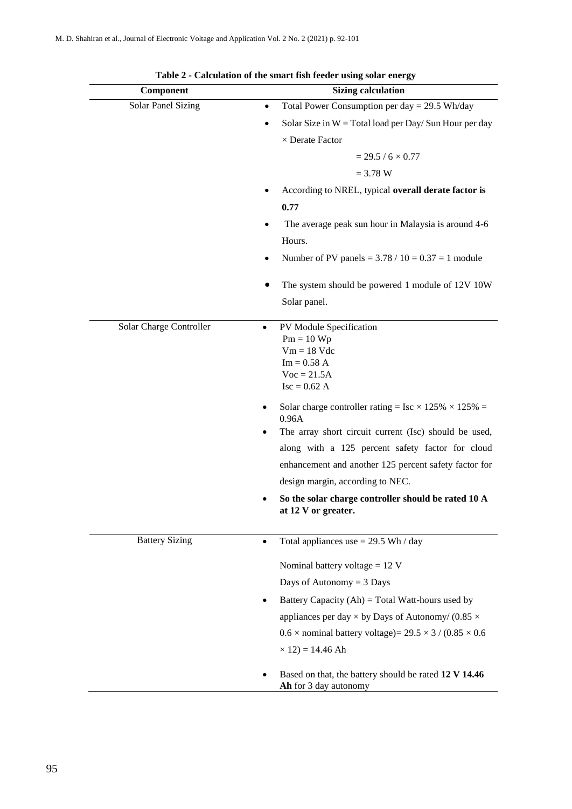| Component                 | <b>Sizing calculation</b>                                                      |
|---------------------------|--------------------------------------------------------------------------------|
| <b>Solar Panel Sizing</b> | Total Power Consumption per day = $29.5$ Wh/day<br>$\bullet$                   |
|                           | Solar Size in $W = Total load per Day/ Sun Hour per day$<br>$\bullet$          |
|                           | $\times$ Derate Factor                                                         |
|                           | $= 29.5 / 6 \times 0.77$                                                       |
|                           | $= 3.78 W$                                                                     |
|                           | According to NREL, typical overall derate factor is                            |
|                           | 0.77                                                                           |
|                           | The average peak sun hour in Malaysia is around 4-6                            |
|                           | Hours.                                                                         |
|                           | Number of PV panels = $3.78 / 10 = 0.37 = 1$ module                            |
|                           | The system should be powered 1 module of 12V 10W                               |
|                           | Solar panel.                                                                   |
| Solar Charge Controller   | PV Module Specification<br>٠                                                   |
|                           | $Pm = 10 Wp$<br>$Vm = 18$ Vdc                                                  |
|                           | $Im = 0.58 A$                                                                  |
|                           | $Voc = 21.5A$                                                                  |
|                           | $Isc = 0.62 A$                                                                 |
|                           | Solar charge controller rating = Isc $\times$ 125% $\times$ 125% =<br>0.96A    |
|                           | The array short circuit current (Isc) should be used,<br>٠                     |
|                           | along with a 125 percent safety factor for cloud                               |
|                           | enhancement and another 125 percent safety factor for                          |
|                           | design margin, according to NEC.                                               |
|                           | So the solar charge controller should be rated 10 A<br>at 12 V or greater.     |
| <b>Battery Sizing</b>     | Total appliances use $= 29.5$ Wh / day<br>٠                                    |
|                           | Nominal battery voltage = $12 V$                                               |
|                           | Days of Autonomy $=$ 3 Days                                                    |
|                           | Battery Capacity $(Ah)$ = Total Watt-hours used by                             |
|                           | appliances per day $\times$ by Days of Autonomy/ (0.85 $\times$                |
|                           | $0.6 \times$ nominal battery voltage) = 29.5 $\times$ 3 / (0.85 $\times$ 0.6   |
|                           | $\times$ 12) = 14.46 Ah                                                        |
|                           | Based on that, the battery should be rated 12 V 14.46<br>Ah for 3 day autonomy |

**Table 2 - Calculation of the smart fish feeder using solar energy**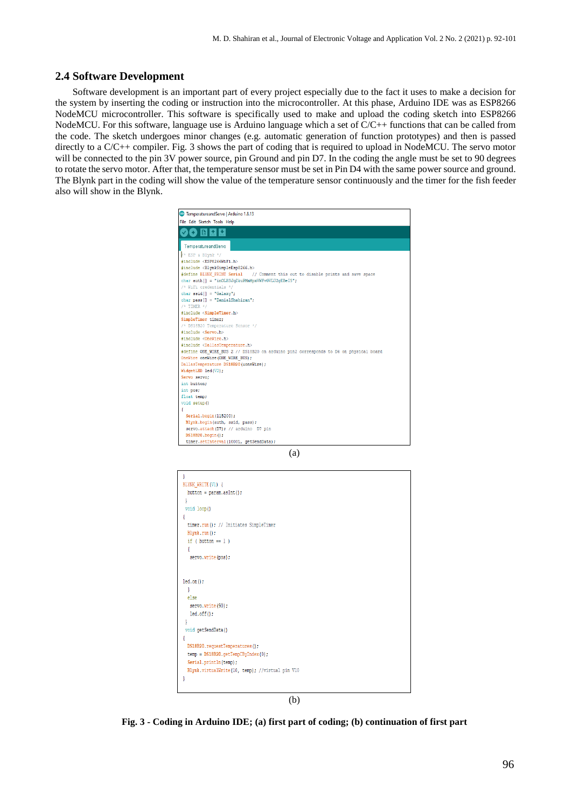#### **2.4 Software Development**

Software development is an important part of every project especially due to the fact it uses to make a decision for the system by inserting the coding or instruction into the microcontroller. At this phase, Arduino IDE was as ESP8266 NodeMCU microcontroller. This software is specifically used to make and upload the coding sketch into ESP8266 NodeMCU. For this software, language use is Arduino language which a set of  $C/C++$  functions that can be called from the code. The sketch undergoes minor changes (e.g. automatic generation of function prototypes) and then is passed directly to a C/C++ compiler. Fig. 3 shows the part of coding that is required to upload in NodeMCU. The servo motor will be connected to the pin 3V power source, pin Ground and pin D7. In the coding the angle must be set to 90 degrees to rotate the servo motor. After that, the temperature sensor must be set in Pin D4 with the same power source and ground. The Blynk part in the coding will show the value of the temperature sensor continuously and the timer for the fish feeder also will show in the Blynk.





**Fig. 3 - Coding in Arduino IDE; (a) first part of coding; (b) continuation of first part**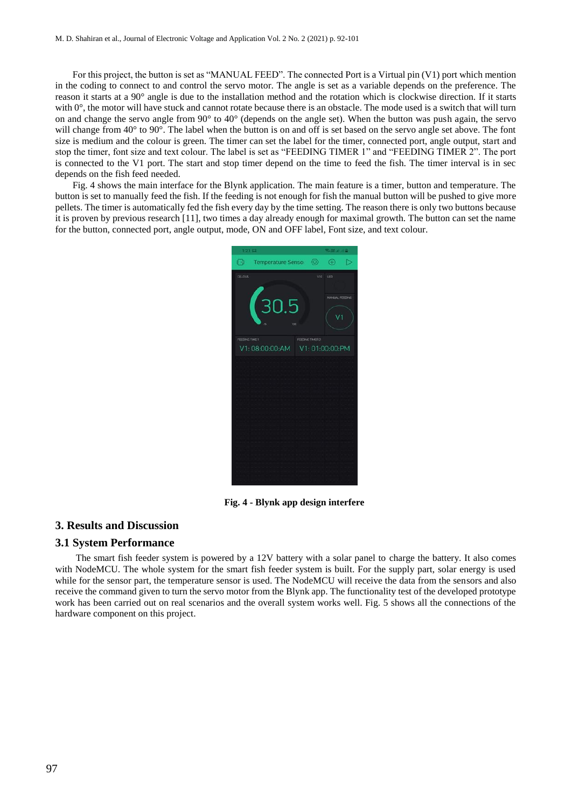For this project, the button is set as "MANUAL FEED". The connected Port is a Virtual pin (V1) port which mention in the coding to connect to and control the servo motor. The angle is set as a variable depends on the preference. The reason it starts at a 90° angle is due to the installation method and the rotation which is clockwise direction. If it starts with  $0^\circ$ , the motor will have stuck and cannot rotate because there is an obstacle. The mode used is a switch that will turn on and change the servo angle from 90° to 40° (depends on the angle set). When the button was push again, the servo will change from  $40^{\circ}$  to  $90^{\circ}$ . The label when the button is on and off is set based on the servo angle set above. The font size is medium and the colour is green. The timer can set the label for the timer, connected port, angle output, start and stop the timer, font size and text colour. The label is set as "FEEDING TIMER 1" and "FEEDING TIMER 2". The port is connected to the V1 port. The start and stop timer depend on the time to feed the fish. The timer interval is in sec depends on the fish feed needed.

Fig. 4 shows the main interface for the Blynk application. The main feature is a timer, button and temperature. The button is set to manually feed the fish. If the feeding is not enough for fish the manual button will be pushed to give more pellets. The timer is automatically fed the fish every day by the time setting. The reason there is only two buttons because it is proven by previous research [11], two times a day already enough for maximal growth. The button can set the name for the button, connected port, angle output, mode, ON and OFF label, Font size, and text colour.



**Fig. 4 - Blynk app design interfere**

#### **3. Results and Discussion**

#### **3.1 System Performance**

The smart fish feeder system is powered by a 12V battery with a solar panel to charge the battery. It also comes with NodeMCU. The whole system for the smart fish feeder system is built. For the supply part, solar energy is used while for the sensor part, the temperature sensor is used. The NodeMCU will receive the data from the sensors and also receive the command given to turn the servo motor from the Blynk app. The functionality test of the developed prototype work has been carried out on real scenarios and the overall system works well. Fig. 5 shows all the connections of the hardware component on this project.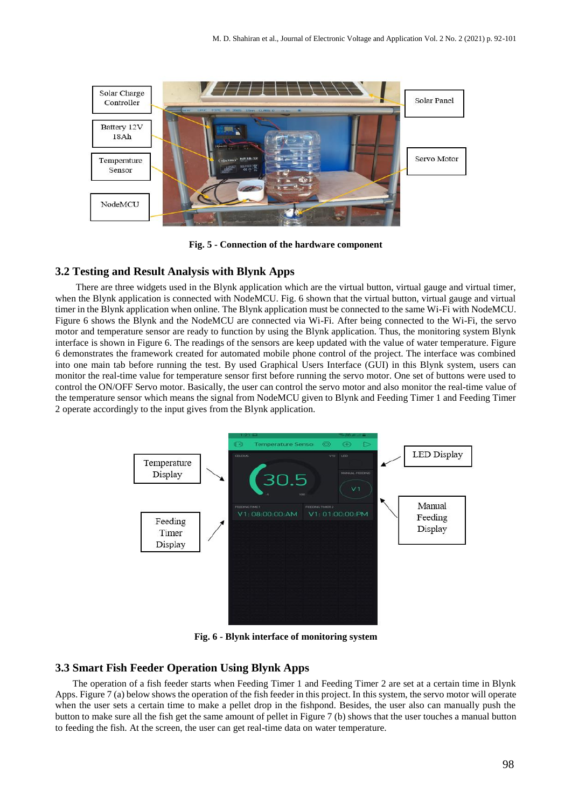

**Fig. 5 - Connection of the hardware component**

# **3.2 Testing and Result Analysis with Blynk Apps**

There are three widgets used in the Blynk application which are the virtual button, virtual gauge and virtual timer, when the Blynk application is connected with NodeMCU. Fig. 6 shown that the virtual button, virtual gauge and virtual timer in the Blynk application when online. The Blynk application must be connected to the same Wi-Fi with NodeMCU. Figure 6 shows the Blynk and the NodeMCU are connected via Wi-Fi. After being connected to the Wi-Fi, the servo motor and temperature sensor are ready to function by using the Blynk application. Thus, the monitoring system Blynk interface is shown in Figure 6. The readings of the sensors are keep updated with the value of water temperature. Figure 6 demonstrates the framework created for automated mobile phone control of the project. The interface was combined into one main tab before running the test. By used Graphical Users Interface (GUI) in this Blynk system, users can monitor the real-time value for temperature sensor first before running the servo motor. One set of buttons were used to control the ON/OFF Servo motor. Basically, the user can control the servo motor and also monitor the real-time value of the temperature sensor which means the signal from NodeMCU given to Blynk and Feeding Timer 1 and Feeding Timer 2 operate accordingly to the input gives from the Blynk application.



**Fig. 6 - Blynk interface of monitoring system**

# **3.3 Smart Fish Feeder Operation Using Blynk Apps**

The operation of a fish feeder starts when Feeding Timer 1 and Feeding Timer 2 are set at a certain time in Blynk Apps. Figure 7 (a) below shows the operation of the fish feeder in this project. In this system, the servo motor will operate when the user sets a certain time to make a pellet drop in the fishpond. Besides, the user also can manually push the button to make sure all the fish get the same amount of pellet in Figure 7 (b) shows that the user touches a manual button to feeding the fish. At the screen, the user can get real-time data on water temperature.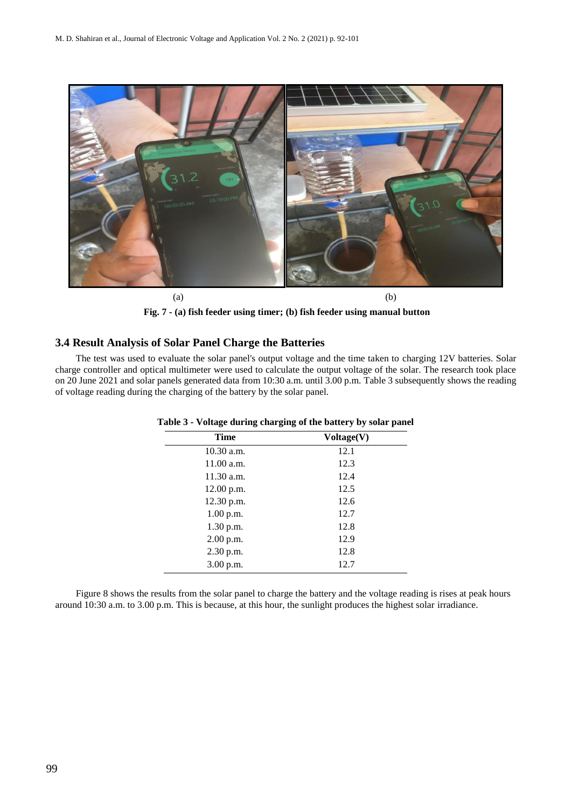

**Fig. 7 - (a) fish feeder using timer; (b) fish feeder using manual button**

# **3.4 Result Analysis of Solar Panel Charge the Batteries**

The test was used to evaluate the solar panel's output voltage and the time taken to charging 12V batteries. Solar charge controller and optical multimeter were used to calculate the output voltage of the solar. The research took place on 20 June 2021 and solar panels generated data from 10:30 a.m. until 3.00 p.m. Table 3 subsequently shows the reading of voltage reading during the charging of the battery by the solar panel.

| <b>Time</b>  | Voltage(V) |
|--------------|------------|
| $10.30$ a.m. | 12.1       |
| 11.00 a.m.   | 12.3       |
| 11.30 a.m.   | 12.4       |
| 12.00 p.m.   | 12.5       |
| 12.30 p.m.   | 12.6       |
| 1.00 p.m.    | 12.7       |
| 1.30 p.m.    | 12.8       |
| 2.00 p.m.    | 12.9       |
| 2.30 p.m.    | 12.8       |
| 3.00 p.m.    | 12.7       |

**Table 3 - Voltage during charging of the battery by solar panel**

Figure 8 shows the results from the solar panel to charge the battery and the voltage reading is rises at peak hours around 10:30 a.m. to 3.00 p.m. This is because, at this hour, the sunlight produces the highest solar irradiance.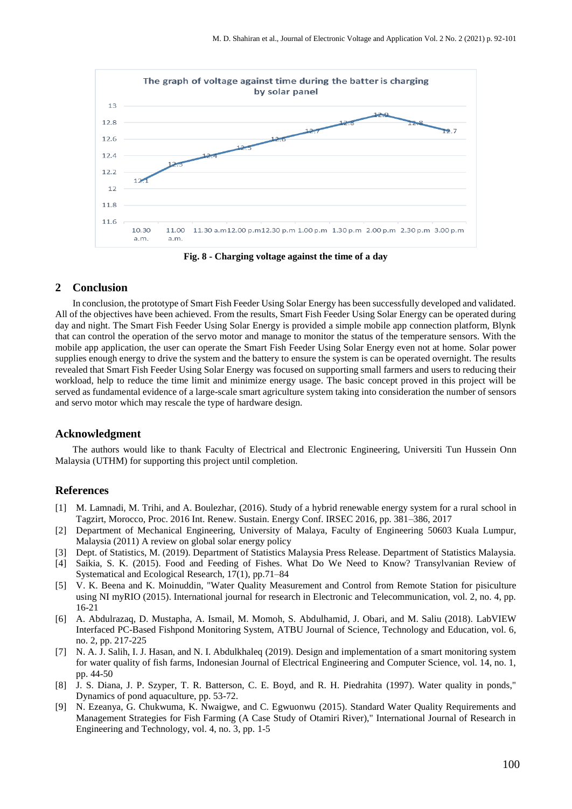

**Fig. 8 - Charging voltage against the time of a day**

#### **2 Conclusion**

In conclusion, the prototype of Smart Fish Feeder Using Solar Energy has been successfully developed and validated. All of the objectives have been achieved. From the results, Smart Fish Feeder Using Solar Energy can be operated during day and night. The Smart Fish Feeder Using Solar Energy is provided a simple mobile app connection platform, Blynk that can control the operation of the servo motor and manage to monitor the status of the temperature sensors. With the mobile app application, the user can operate the Smart Fish Feeder Using Solar Energy even not at home. Solar power supplies enough energy to drive the system and the battery to ensure the system is can be operated overnight. The results revealed that Smart Fish Feeder Using Solar Energy was focused on supporting small farmers and users to reducing their workload, help to reduce the time limit and minimize energy usage. The basic concept proved in this project will be served as fundamental evidence of a large-scale smart agriculture system taking into consideration the number of sensors and servo motor which may rescale the type of hardware design.

#### **Acknowledgment**

The authors would like to thank Faculty of Electrical and Electronic Engineering, Universiti Tun Hussein Onn Malaysia (UTHM) for supporting this project until completion.

#### **References**

- [1] M. Lamnadi, M. Trihi, and A. Boulezhar, (2016). Study of a hybrid renewable energy system for a rural school in Tagzirt, Morocco, Proc. 2016 Int. Renew. Sustain. Energy Conf. IRSEC 2016, pp. 381–386, 2017
- [2] Department of Mechanical Engineering, University of Malaya, Faculty of Engineering 50603 Kuala Lumpur, Malaysia (2011) A review on global solar energy policy
- [3] Dept. of Statistics, M. (2019). Department of Statistics Malaysia Press Release. Department of Statistics Malaysia.
- [4] Saikia, S. K. (2015). Food and Feeding of Fishes. What Do We Need to Know? Transylvanian Review of Systematical and Ecological Research, 17(1), pp.71–84
- [5] V. K. Beena and K. Moinuddin, "Water Quality Measurement and Control from Remote Station for pisiculture using NI myRIO (2015). International journal for research in Electronic and Telecommunication, vol. 2, no. 4, pp. 16-21
- [6] A. Abdulrazaq, D. Mustapha, A. Ismail, M. Momoh, S. Abdulhamid, J. Obari, and M. Saliu (2018). LabVIEW Interfaced PC-Based Fishpond Monitoring System, ATBU Journal of Science, Technology and Education, vol. 6, no. 2, pp. 217-225
- [7] N. A. J. Salih, I. J. Hasan, and N. I. Abdulkhaleq (2019). Design and implementation of a smart monitoring system for water quality of fish farms, Indonesian Journal of Electrical Engineering and Computer Science, vol. 14, no. 1, pp. 44-50
- [8] J. S. Diana, J. P. Szyper, T. R. Batterson, C. E. Boyd, and R. H. Piedrahita (1997). Water quality in ponds," Dynamics of pond aquaculture, pp. 53-72.
- [9] N. Ezeanya, G. Chukwuma, K. Nwaigwe, and C. Egwuonwu (2015). Standard Water Quality Requirements and Management Strategies for Fish Farming (A Case Study of Otamiri River)," International Journal of Research in Engineering and Technology, vol. 4, no. 3, pp. 1-5